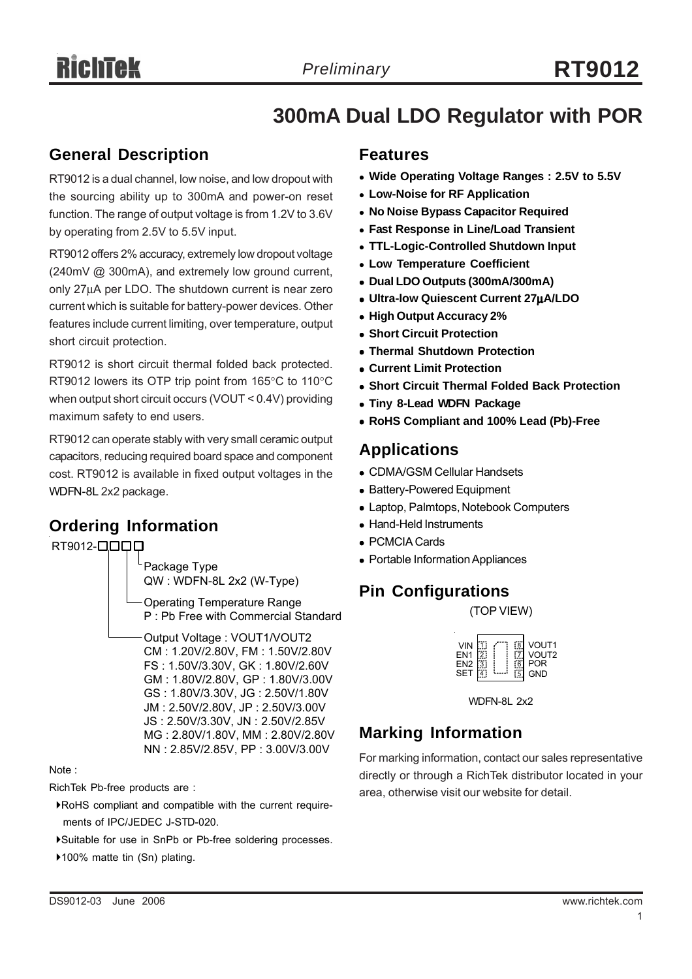# **300mA Dual LDO Regulator with POR**

#### **General Description**

RT9012 is a dual channel, low noise, and low dropout with the sourcing ability up to 300mA and power-on reset function. The range of output voltage is from 1.2V to 3.6V by operating from 2.5V to 5.5V input.

RT9012 offers 2% accuracy, extremely low dropout voltage (240mV @ 300mA), and extremely low ground current, only 27μA per LDO. The shutdown current is near zero current which is suitable for battery-power devices. Other features include current limiting, over temperature, output short circuit protection.

RT9012 is short circuit thermal folded back protected. RT9012 lowers its OTP trip point from 165°C to 110°C when output short circuit occurs (VOUT < 0.4V) providing maximum safety to end users.

RT9012 can operate stably with very small ceramic output capacitors, reducing required board space and component cost. RT9012 is available in fixed output voltages in the WDFN-8L 2x2 package.

### **Ordering Information**

RT9012-**QQQ** 

Package Type QW : WDFN-8L 2x2 (W-Type) Operating Temperature Range P : Pb Free with Commercial Standard Output Voltage : VOUT1/VOUT2 CM : 1.20V/2.80V, FM : 1.50V/2.80V FS : 1.50V/3.30V, GK : 1.80V/2.60V GM : 1.80V/2.80V, GP : 1.80V/3.00V GS : 1.80V/3.30V, JG : 2.50V/1.80V

JM : 2.50V/2.80V, JP : 2.50V/3.00V JS : 2.50V/3.30V, JN : 2.50V/2.85V MG : 2.80V/1.80V, MM : 2.80V/2.80V NN : 2.85V/2.85V, PP : 3.00V/3.00V

Note :

RichTek Pb-free products are :

- `RoHS compliant and compatible with the current require ments of IPC/JEDEC J-STD-020.
- `Suitable for use in SnPb or Pb-free soldering processes.
- ▶100% matte tin (Sn) plating.

#### **Features**

- **Wide Operating Voltage Ranges : 2.5V to 5.5V**
- <sup>z</sup> **Low-Noise for RF Application**
- <sup>z</sup> **No Noise Bypass Capacitor Required**
- <sup>z</sup> **Fast Response in Line/Load Transient**
- <sup>z</sup> **TTL-Logic-Controlled Shutdown Input**
- **Low Temperature Coefficient**
- <sup>z</sup> **Dual LDO Outputs (300mA/300mA)**
- <sup>z</sup> **Ultra-low Quiescent Current 27**μ**A/LDO**
- **High Output Accuracy 2%**
- **Short Circuit Protection**
- **Thermal Shutdown Protection**
- <sup>z</sup> **Current Limit Protection**
- **Short Circuit Thermal Folded Back Protection**
- **Tiny 8-Lead WDFN Package**
- <sup>z</sup> **RoHS Compliant and 100% Lead (Pb)-Free**

#### **Applications**

- CDMA/GSM Cellular Handsets
- Battery-Powered Equipment
- Laptop, Palmtops, Notebook Computers
- Hand-Held Instruments
- PCMCIA Cards
- Portable Information Appliances

#### **Pin Configurations**

(TOP VIEW)

| <b>VIN</b><br>EN <sub>1</sub><br>EN2<br>SET |  |  | VOUT <sub>1</sub><br>VOUT <sub>2</sub><br><b>POR</b><br><b>GND</b> |
|---------------------------------------------|--|--|--------------------------------------------------------------------|
|---------------------------------------------|--|--|--------------------------------------------------------------------|

WDFN-8L 2x2

#### **Marking Information**

For marking information, contact our sales representative directly or through a RichTek distributor located in your area, otherwise visit our website for detail.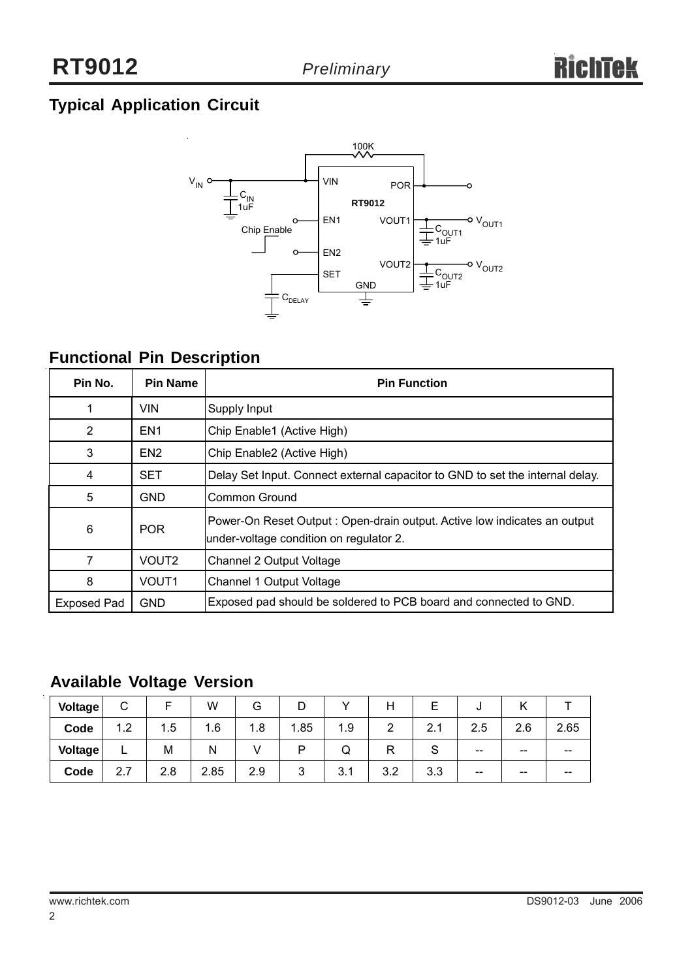# **Typical Application Circuit**



# **Functional Pin Description**

| Pin No.     | <b>Pin Name</b>   | <b>Pin Function</b>                                                                                                 |
|-------------|-------------------|---------------------------------------------------------------------------------------------------------------------|
|             | VIN.              | Supply Input                                                                                                        |
| 2           | EN <sub>1</sub>   | Chip Enable1 (Active High)                                                                                          |
| 3           | EN <sub>2</sub>   | Chip Enable2 (Active High)                                                                                          |
| 4           | SET               | Delay Set Input. Connect external capacitor to GND to set the internal delay.                                       |
| 5           | <b>GND</b>        | Common Ground                                                                                                       |
| 6           | <b>POR</b>        | Power-On Reset Output: Open-drain output. Active low indicates an output<br>under-voltage condition on regulator 2. |
|             | VOUT <sub>2</sub> | Channel 2 Output Voltage                                                                                            |
| 8           | VOUT <sub>1</sub> | Channel 1 Output Voltage                                                                                            |
| Exposed Pad | <b>GND</b>        | Exposed pad should be soldered to PCB board and connected to GND.                                                   |

### **Available Voltage Version**

| Voltage | ⌒<br>U                | ⊢   | W    | G   | D    |     | п   | E           | ີ     |       |       |
|---------|-----------------------|-----|------|-----|------|-----|-----|-------------|-------|-------|-------|
| Code    | 1.2                   | 1.5 | 1.6  | 1.8 | 1.85 | 1.9 | っ   | 2.1         | 2.5   | 2.6   | 2.65  |
| Voltage | ┕                     | M   | N    |     | ח    | Q   | R   | $\sim$<br>১ | $- -$ | $- -$ | --    |
| Code    | $\overline{ }$<br>2.7 | 2.8 | 2.85 | 2.9 | 3    | 3.1 | 3.2 | 3.3         | $- -$ | --    | $- -$ |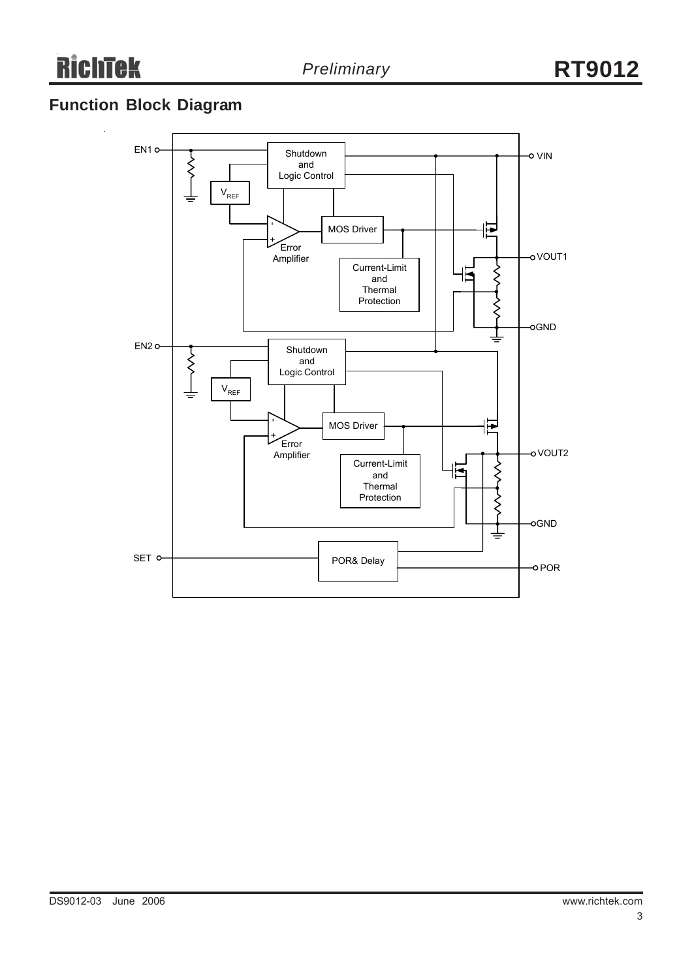# **Function Block Diagram**

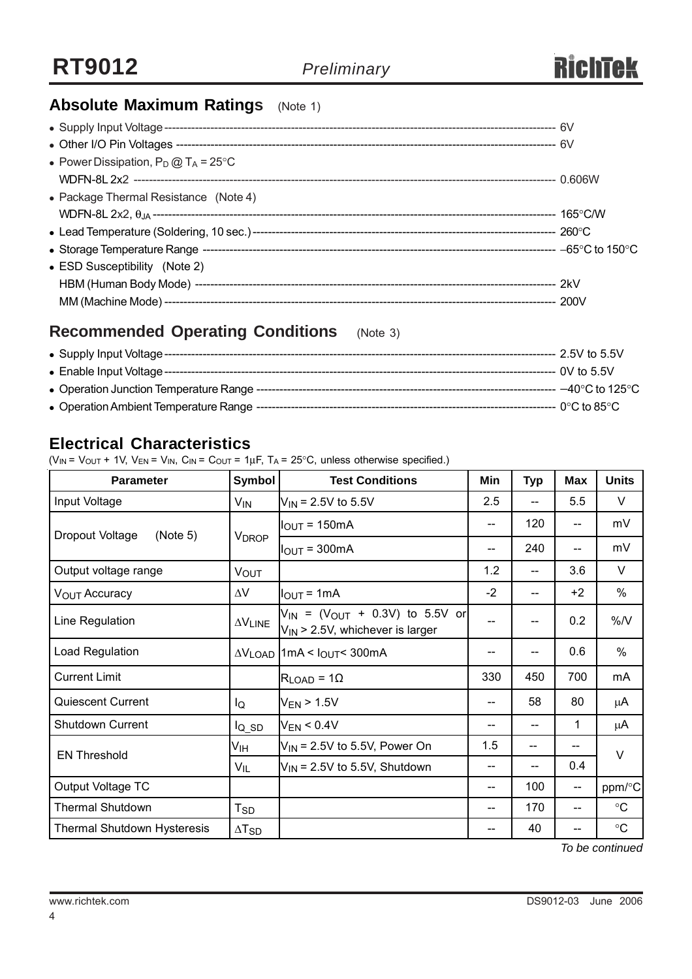# **Absolute Maximum Ratings** (Note 1)

| • Power Dissipation, $P_D @ T_A = 25^{\circ}C$ |  |
|------------------------------------------------|--|
|                                                |  |
| • Package Thermal Resistance (Note 4)          |  |
|                                                |  |
|                                                |  |
|                                                |  |
| • ESD Susceptibility (Note 2)                  |  |
|                                                |  |
|                                                |  |

### **Recommended Operating Conditions** (Note 3)

|  | --- 2.5V to 5.5V |
|--|------------------|
|  |                  |
|  |                  |
|  |                  |

### **Electrical Characteristics**

( $V_{IN}$  =  $V_{OUT}$  + 1V,  $V_{EN}$  =  $V_{IN}$ ,  $C_{IN}$  =  $C_{OUT}$  = 1 $\mu$ F, T<sub>A</sub> = 25°C, unless otherwise specified.)

| <b>Parameter</b>                   | <b>Symbol</b>                      | <b>Test Conditions</b>                                                                   | Min  | <b>Typ</b> | <b>Max</b>        | <b>Units</b>      |  |
|------------------------------------|------------------------------------|------------------------------------------------------------------------------------------|------|------------|-------------------|-------------------|--|
| Input Voltage                      | $V_{IN}$                           | $V_{IN}$ = 2.5V to 5.5V                                                                  | 2.5  | $-$        | 5.5               | V                 |  |
| Dropout Voltage<br>(Note 5)        |                                    | $IOUT = 150mA$                                                                           | --   | 120        | $- -$             | mV                |  |
|                                    | <b>VDROP</b>                       | $IOUT = 300mA$                                                                           | --   | 240        | $- -$             | mV                |  |
| Output voltage range               | <b>VOUT</b>                        |                                                                                          | 1.2  |            | 3.6               | $\vee$            |  |
| V <sub>OUT</sub> Accuracy          | $\Delta \rm{V}$                    | $I_{OUT} = 1mA$                                                                          | $-2$ | --         | $+2$              | %                 |  |
| Line Regulation                    | $\Delta\mathsf{V}_{\mathsf{LINE}}$ | $V_{IN}$ = ( $V_{OUT}$ + 0.3V) to 5.5V or<br>V <sub>IN</sub> > 2.5V, whichever is larger | --   | --         | 0.2               | $\%$ /V           |  |
| Load Regulation                    |                                    | $\Delta V_{\text{LOAD}}$   1mA < $I_{\text{OUT}}$ < 300mA                                | --   |            | 0.6               | %                 |  |
| <b>Current Limit</b>               |                                    | $R_{LOAD} = 10$                                                                          | 330  | 450        | 700               | mA                |  |
| Quiescent Current                  | lQ                                 | $V_{EN}$ > 1.5V                                                                          | --   | 58         | 80                | μA                |  |
| Shutdown Current                   | $I_{Q,SD}$                         | $V_{EN}$ < 0.4V                                                                          |      |            | 1                 | μA                |  |
| <b>EN Threshold</b>                | Ѵıн                                | $V_{IN}$ = 2.5V to 5.5V, Power On                                                        | 1.5  |            |                   | $\vee$            |  |
|                                    | $V_{IL}$                           | $V_{IN}$ = 2.5V to 5.5V, Shutdown                                                        | --   |            | 0.4               |                   |  |
| Output Voltage TC                  |                                    |                                                                                          | --   | 100        | $\qquad \qquad -$ | ppm/°C            |  |
| <b>Thermal Shutdown</b>            | $T_{SD}$                           |                                                                                          | --   | 170        | $- -$             | $^\circ \text{C}$ |  |
| <b>Thermal Shutdown Hysteresis</b> | $\Delta$ T <sub>SD</sub>           |                                                                                          | --   | 40         | --                | $^\circ \text{C}$ |  |

*To be continued*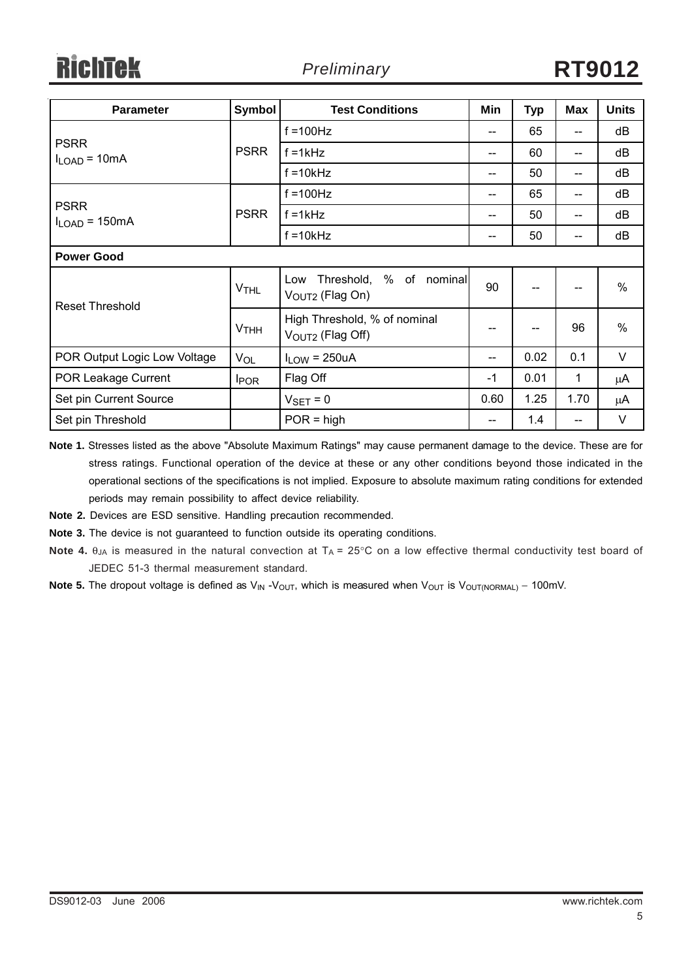| <b>Parameter</b>                  | Symbol                 | <b>Test Conditions</b>                                        | Min                                   | <b>Typ</b> | <b>Max</b> | <b>Units</b>  |  |  |
|-----------------------------------|------------------------|---------------------------------------------------------------|---------------------------------------|------------|------------|---------------|--|--|
|                                   |                        | $f = 100$ Hz                                                  | --                                    | 65         | --         | dB            |  |  |
| <b>PSRR</b><br>$I_{LOAD} = 10mA$  | <b>PSRR</b>            | $f = 1kHz$                                                    | $-$                                   | 60         | --         | dB            |  |  |
|                                   |                        | $f = 10k$ Hz                                                  | --                                    | 50         | --         | dB            |  |  |
|                                   |                        | $f = 100$ Hz                                                  | --                                    | 65         | --         | dB            |  |  |
| <b>PSRR</b><br>$I_{LOAD} = 150mA$ | <b>PSRR</b>            | $f = 1kHz$                                                    | $\hspace{0.05cm}$ – $\hspace{0.05cm}$ | 50         | --         | dB            |  |  |
|                                   |                        | $f = 10k$ Hz                                                  | $\hspace{0.05cm}$ – $\hspace{0.05cm}$ | 50         | --         | dB            |  |  |
| <b>Power Good</b>                 |                        |                                                               |                                       |            |            |               |  |  |
| <b>Reset Threshold</b>            | <b>V<sub>THL</sub></b> | Threshold, % of nominal<br>Low<br>V <sub>OUT2</sub> (Flag On) | 90                                    | --         | --         | $\%$          |  |  |
|                                   | $V$ THH                | High Threshold, % of nominal<br>$VOUT2$ (Flag Off)            | --                                    |            | 96         | $\frac{0}{0}$ |  |  |
| POR Output Logic Low Voltage      | VOL                    | $I_{LOW} = 250uA$                                             | --                                    | 0.02       | 0.1        | $\vee$        |  |  |
| POR Leakage Current               | <b>I</b> POR           | Flag Off                                                      | $-1$                                  | 0.01       | 1          | μA            |  |  |
| Set pin Current Source            |                        | $V_{\text{SET}} = 0$                                          | 0.60                                  | 1.25       | 1.70       | μA            |  |  |
| Set pin Threshold                 |                        | $POR = high$                                                  | --                                    | 1.4        |            | $\vee$        |  |  |

**Note 1.** Stresses listed as the above "Absolute Maximum Ratings" may cause permanent damage to the device. These are for stress ratings. Functional operation of the device at these or any other conditions beyond those indicated in the operational sections of the specifications is not implied. Exposure to absolute maximum rating conditions for extended periods may remain possibility to affect device reliability.

**Note 2.** Devices are ESD sensitive. Handling precaution recommended.

**Note 3.** The device is not guaranteed to function outside its operating conditions.

- **Note 4.** θ<sub>JA</sub> is measured in the natural convection at T<sub>A</sub> = 25°C on a low effective thermal conductivity test board of JEDEC 51-3 thermal measurement standard.
- Note 5. The dropout voltage is defined as V<sub>IN</sub> -V<sub>OUT</sub>, which is measured when V<sub>OUT</sub> is V<sub>OUT(NORMAL)</sub> 100mV.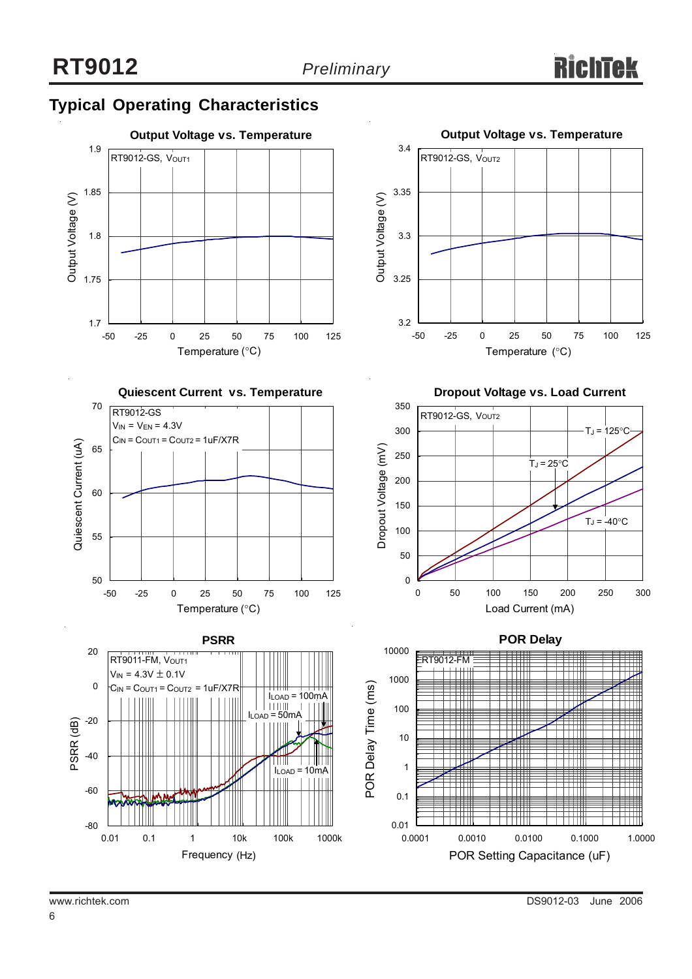### **Typical Operating Characteristics**











**Dropout Voltage vs. Load Current**



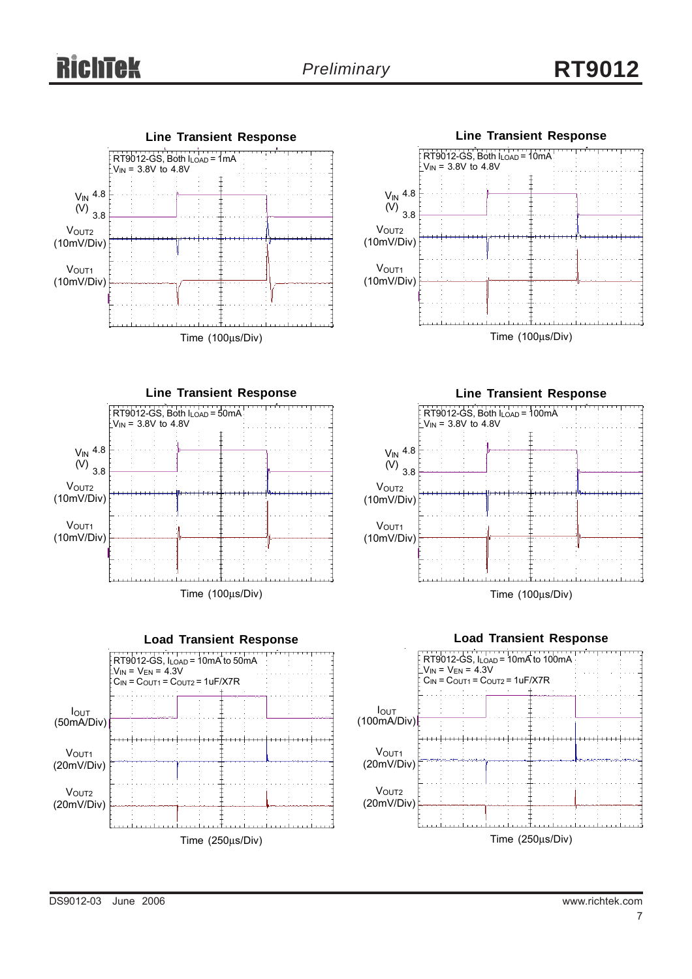# *Preliminary* **RT9012**













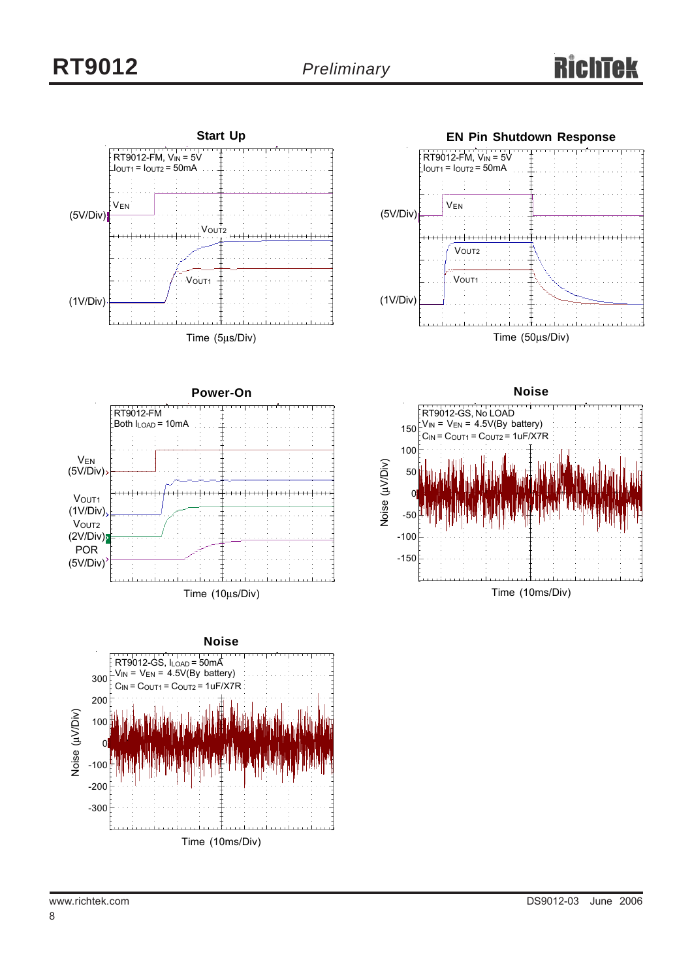

Time (10ms/Div) Noise ( -100 -200 -300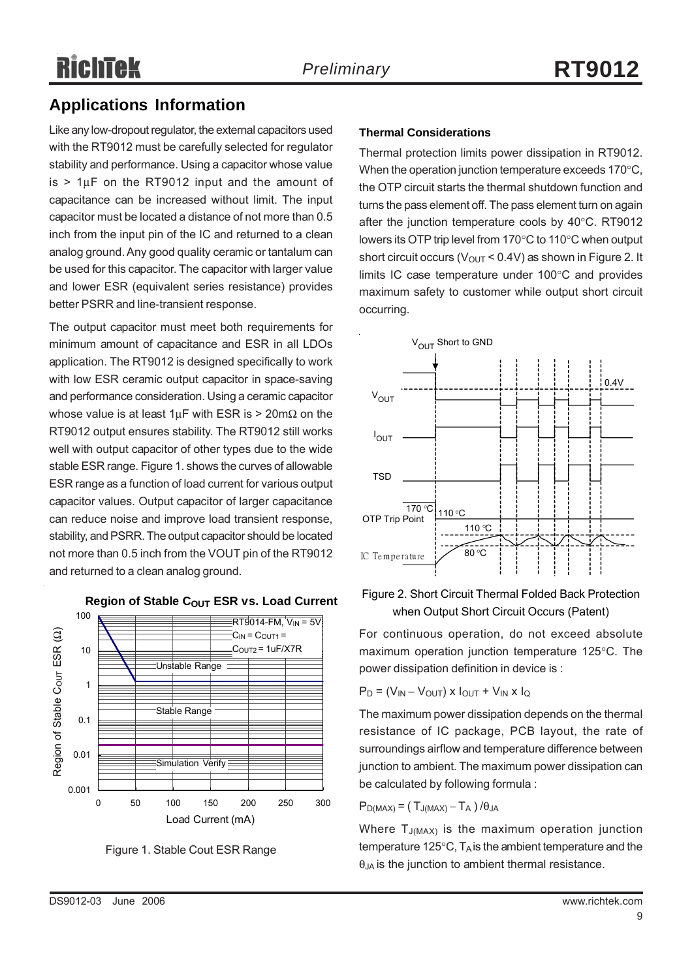### **Applications Information**

Like any low-dropout regulator, the external capacitors used with the RT9012 must be carefully selected for regulator stability and performance. Using a capacitor whose value is  $> 1\mu$ F on the RT9012 input and the amount of capacitance can be increased without limit. The input capacitor must be located a distance of not more than 0.5 inch from the input pin of the IC and returned to a clean analog ground. Any good quality ceramic or tantalum can be used for this capacitor. The capacitor with larger value and lower ESR (equivalent series resistance) provides better PSRR and line-transient response.

The output capacitor must meet both requirements for minimum amount of capacitance and ESR in all LDOs application. The RT9012 is designed specifically to work with low ESR ceramic output capacitor in space-saving and performance consideration. Using a ceramic capacitor whose value is at least  $1 \mu$ F with ESR is > 20m $\Omega$  on the RT9012 output ensures stability. The RT9012 still works well with output capacitor of other types due to the wide stable ESR range. Figure 1. shows the curves of allowable ESR range as a function of load current for various output capacitor values. Output capacitor of larger capacitance can reduce noise and improve load transient response, stability, and PSRR. The output capacitor should be located not more than 0.5 inch from the VOUT pin of the RT9012 and returned to a clean analog ground.



#### **Region of Stable COUT ESR vs. Load Current**

Figure 1. Stable Cout ESR Range

#### **Thermal Considerations**

Thermal protection limits power dissipation in RT9012. When the operation junction temperature exceeds 170°C, the OTP circuit starts the thermal shutdown function and turns the pass element off. The pass element turn on again after the junction temperature cools by 40°C. RT9012 lowers its OTP trip level from 170°C to 110°C when output short circuit occurs ( $V_{\text{OUT}}$  < 0.4V) as shown in Figure 2. It limits IC case temperature under 100°C and provides maximum safety to customer while output short circuit occurring.



#### Figure 2. Short Circuit Thermal Folded Back Protection when Output Short Circuit Occurs (Patent)

For continuous operation, do not exceed absolute maximum operation junction temperature 125°C. The power dissipation definition in device is :

$$
P_D = (V_{IN} - V_{OUT}) \times I_{OUT} + V_{IN} \times I_Q
$$

The maximum power dissipation depends on the thermal resistance of IC package, PCB layout, the rate of surroundings airflow and temperature difference between junction to ambient. The maximum power dissipation can be calculated by following formula :

 $P_{D(MAX)} = (T_{J(MAX)} - T_A) / \theta_{JA}$ 

Where  $T_{J(MAX)}$  is the maximum operation junction temperature 125 $\degree$ C, T<sub>A</sub> is the ambient temperature and the  $\theta_{JA}$  is the junction to ambient thermal resistance.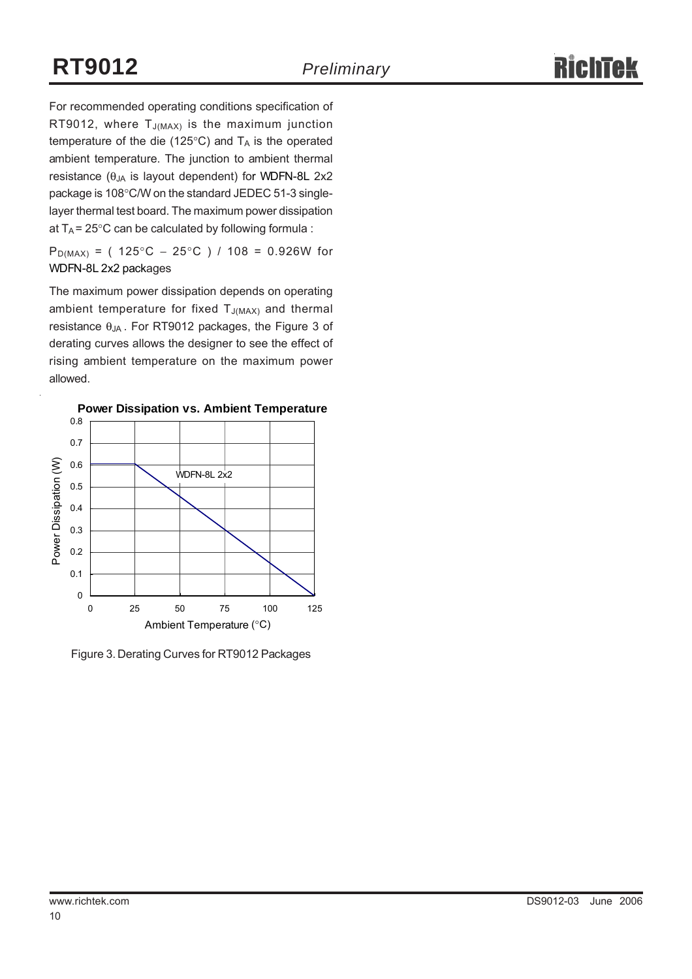For recommended operating conditions specification of RT9012, where  $T_{J(MAX)}$  is the maximum junction temperature of the die (125 $\degree$ C) and T<sub>A</sub> is the operated ambient temperature. The junction to ambient thermal resistance ( $θ_{JA}$  is layout dependent) for WDFN-8L 2x2 package is 108°C/W on the standard JEDEC 51-3 singlelayer thermal test board. The maximum power dissipation at  $T_A$  = 25°C can be calculated by following formula :

P<sub>D(MAX)</sub> = (  $125^{\circ}$ C –  $25^{\circ}$ C ) /  $108$  = 0.926W for WDFN-8L 2x2 packages

The maximum power dissipation depends on operating ambient temperature for fixed  $T_{J(MAX)}$  and thermal resistance  $θ_{JA}$ . For RT9012 packages, the Figure 3 of derating curves allows the designer to see the effect of rising ambient temperature on the maximum power allowed.



Figure 3. Derating Curves for RT9012 Packages